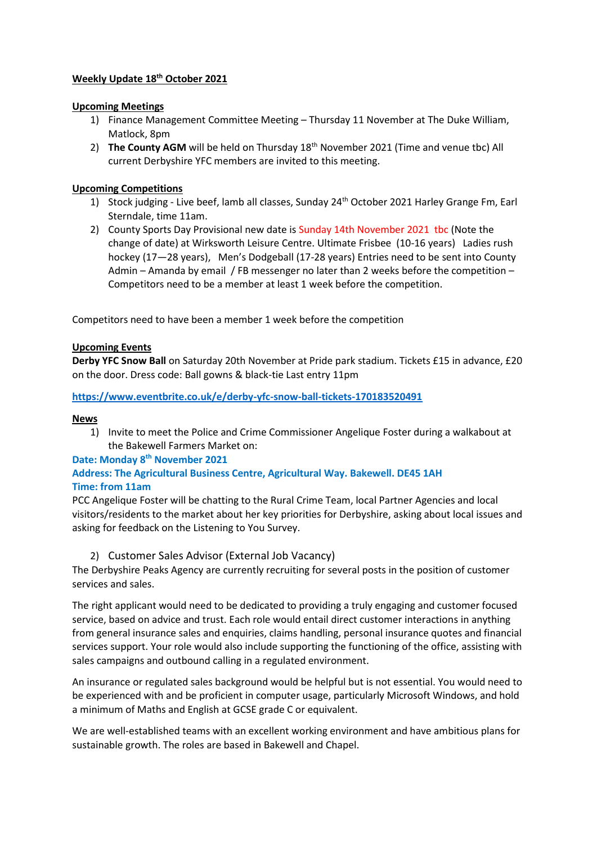### **Weekly Update 18th October 2021**

#### **Upcoming Meetings**

- 1) Finance Management Committee Meeting Thursday 11 November at The Duke William, Matlock, 8pm
- 2) **The County AGM** will be held on Thursday 18<sup>th</sup> November 2021 (Time and venue tbc) All current Derbyshire YFC members are invited to this meeting.

#### **Upcoming Competitions**

- 1) Stock judging Live beef, lamb all classes, Sunday 24<sup>th</sup> October 2021 Harley Grange Fm, Earl Sterndale, time 11am.
- 2) County Sports Day Provisional new date is Sunday 14th November 2021 tbc (Note the change of date) at Wirksworth Leisure Centre. Ultimate Frisbee (10-16 years) Ladies rush hockey (17—28 years), Men's Dodgeball (17-28 years) Entries need to be sent into County Admin – Amanda by email / FB messenger no later than 2 weeks before the competition – Competitors need to be a member at least 1 week before the competition.

Competitors need to have been a member 1 week before the competition

### **Upcoming Events**

**Derby YFC Snow Ball** on Saturday 20th November at Pride park stadium. Tickets £15 in advance, £20 on the door. Dress code: Ball gowns & black-tie Last entry 11pm

**<https://www.eventbrite.co.uk/e/derby-yfc-snow-ball-tickets-170183520491>**

#### **News**

1) Invite to meet the Police and Crime Commissioner Angelique Foster during a walkabout at the Bakewell Farmers Market on:

#### **Date: Monday 8th November 2021**

# **Address: The Agricultural Business Centre, Agricultural Way. Bakewell. DE45 1AH Time: from 11am**

PCC Angelique Foster will be chatting to the Rural Crime Team, local Partner Agencies and local visitors/residents to the market about her key priorities for Derbyshire, asking about local issues and asking for feedback on the Listening to You Survey.

## 2) Customer Sales Advisor (External Job Vacancy)

The Derbyshire Peaks Agency are currently recruiting for several posts in the position of customer services and sales.

The right applicant would need to be dedicated to providing a truly engaging and customer focused service, based on advice and trust. Each role would entail direct customer interactions in anything from general insurance sales and enquiries, claims handling, personal insurance quotes and financial services support. Your role would also include supporting the functioning of the office, assisting with sales campaigns and outbound calling in a regulated environment.

An insurance or regulated sales background would be helpful but is not essential. You would need to be experienced with and be proficient in computer usage, particularly Microsoft Windows, and hold a minimum of Maths and English at GCSE grade C or equivalent.

We are well-established teams with an excellent working environment and have ambitious plans for sustainable growth. The roles are based in Bakewell and Chapel.